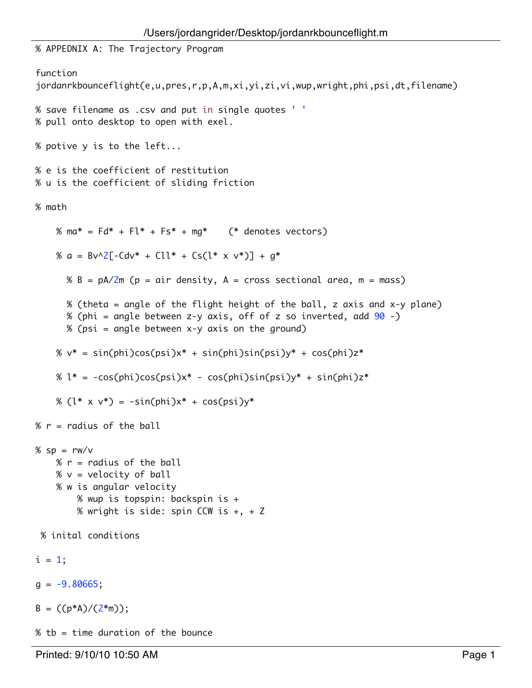```
% APPEDNIX A: The Trajectory Program
function 
jordanrkbounceflight(e,u,pres,r,p,A,m,xi,yi,zi,vi,wup,wright,phi,psi,dt,filename)
% save filename as .csv and put in single quotes ' '
% pull onto desktop to open with exel.
% potive y is to the left...
% e is the coefficient of restitution
% u is the coefficient of sliding friction
% math
    % ma* = Fd* + Fl* + Fs* + mq* (* denotes vectors)
    % a = Bv^2[-Cdv^* + Cll^* + Cs(l^* \times v^*)] + g^*% B = pA/2m (p = air density, A = cross sectional area, m = mass)
       % (theta = angle of the flight height of the ball, z axis and x-y plane)
       % (phi = angle between z-y axis, off of z so inverted, add 90 -)
       % (psi = angle between x-y axis on the ground)
    % v^* = sin(phi)cos(psi)x* + sin(phi)sin(psi)y* + cos(phi)z*
    % l^* = -\cos(\phi h i)\cos(\phi s i)x^* - \cos(\phi h i)\sin(\phi s i)y^* + \sin(\phi h i)z^* % (l* x v*) = -sin(phi)x* + cos(psi)y*
% r = radius of the ball
% sp = rw/v% r = radius of the ball
    % v = velocity of ball
     % w is angular velocity
         % wup is topspin: backspin is +
         % wright is side: spin CCW is +, + Z
  % inital conditions
i = 1;
g = -9.80665;
B = ((p*A)/(2*m));% tb = time duration of the bounce
```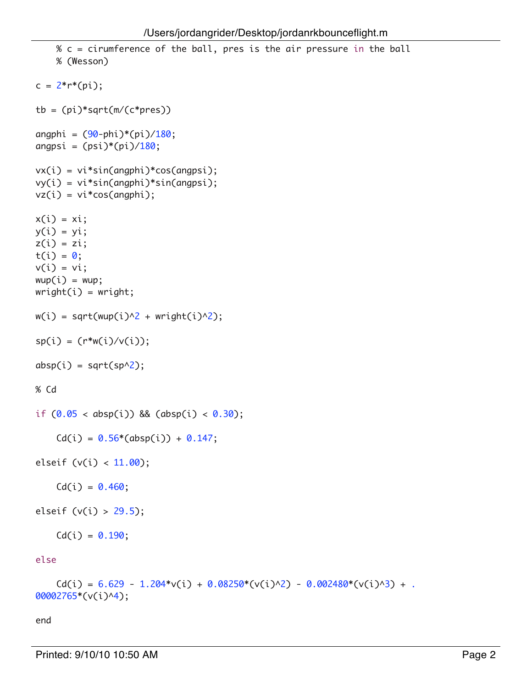```
 % c = cirumference of the ball, pres is the air pressure in the ball
    % (Wesson)
c = 2*r*(pi);tb = (pi)*sqrt(m/(c*pres))angphi = (90 -phi)^*(pi)/180;
angpsi = (psi)*(pi)/180;vx(i) = vi*sin(angphi)*cos(angpsi);
vy(i) = vi*sin(angphi)*sin(angpsi);
vz(i) = vi*cos(\text{angphi});x(i) = xi;y(i) = yi;z(i) = zi;t(i) = 0;v(i) = vi;wup(i) = wup;wright(i) = wright;w(i) = sqrt(wup(i)^{2} + wright(i)^{2});sp(i) = (r * w(i) / v(i));absp(i) = sqrt(sp^2);% Cd
if (0.05 < absp(i)) && (absp(i) < 0.30);
    Cd(i) = 0.56*(absp(i)) + 0.147;elseif (v(i) < 11.00);
    Cd(i) = 0.460;elseif (v(i) > 29.5);
    Cd(i) = 0.190;else
    Cd(i) = 6.629 - 1.204*v(i) + 0.08250*(v(i)/2) - 0.002480*(v(i)/3) + .00002765*(v(i)^4);
```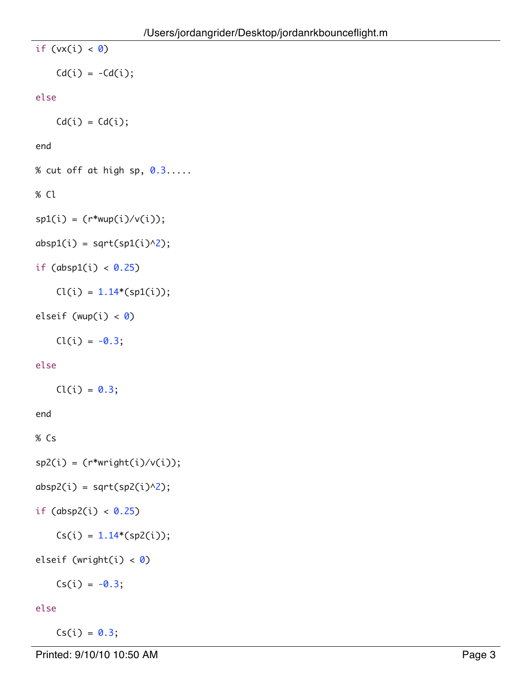```
if (vx(i) < 0)Cd(i) = -Cd(i);else
    Cd(i) = Cd(i);end
% cut off at high sp, 0.3.....
% Cl
sp1(i) = (r * wup(i) / v(i));absp1(i) = sqrt(sp1(i)^{2});if (absp1(i) < 0.25)
    Cl(i) = 1.14*(spl(i));elseif (wup(i) < \theta)
    Cl(i) = -0.3;else
    Cl(i) = 0.3;end
% Cs
sp2(i) = (r*weight(i)/v(i));absp2(i) = sqrt(sp2(i)^{2});if (absp2(i) < 0.25)Cs(i) = 1.14*(sp2(i));
```

```
elseif (wright(i) < \theta)
```
 $Cs(i) = -0.3;$ 

# else

 $Cs(i) = 0.3;$ 

Printed: 9/10/10 10:50 AM Page 3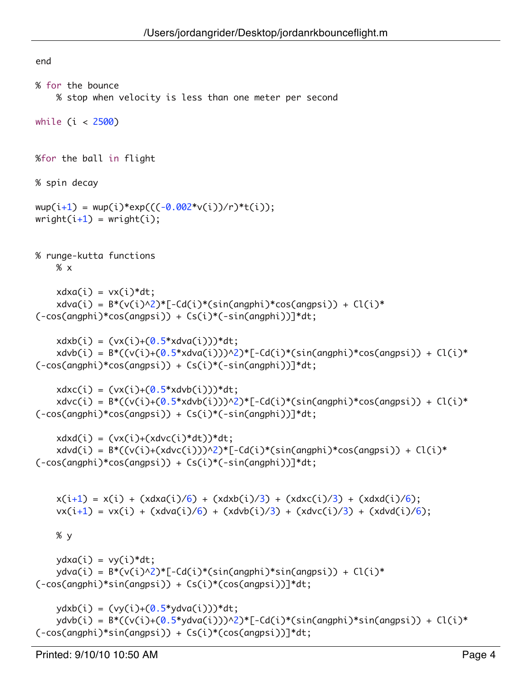```
end
% for the bounce
     % stop when velocity is less than one meter per second
while (i < 2500)
%for the ball in flight
% spin decay
wup(i+1) = wup(i)*exp(((-0.002*v(i))/r)*t(i));wright(i+1) = wright(i);% runge-kutta functions
     % x
    xdxa(i) = vx(i)*dt;xdva(i) = B*(v(i)^2)^*[-Cd(i)^*(sin(\text{angphi})^*cos(\text{angpsi}))) + Cl(i)^*(-cos(angphi)*cos(angpsi)) + Cs(i)*(-sin(angphi))]*dt;
    xdxb(i) = (vx(i)+(0.5*xdva(i)))*dt;xdvb(i) = B*((v(i)+(0.5*xdva(i)))^2)^*[-Cd(i)*(sin(\text{angphi})*cos(\text{angpsi}))+Cl(i)*(-\cos(\text{angphi})*\cos(\text{angpsi}))+\cos(i)*(-\sin(\text{angphi}))]*dt;xdxc(i) = (vx(i)+(0.5*xdvb(i)))*dt;xdvc(i) = B*(-v(i)+(0.5*xdvb(i)))^2<sup>*</sup>[-Cd(i)*(sin(angphi)*cos(angpsi)) + Cl(i)*
(-cos(angphi)*cos(angpsi)) + Cs(i)*(-sin(angphi))]*dt;
    xdxd(i) = (vx(i)+(xdvc(i)*dt))^*dt;xdvd(i) = B*((v(i)+(xdvc(i)))^2)^*[-Cd(i)*(sin(\text{angphi})*cos(\text{angpsi}))+Cl(i)*(-cos(angphi)*cos(angpsi)) + Cs(i)*(-sin(angphi))]*dt;
    x(i+1) = x(i) + (xdxa(i)/6) + (xdxb(i)/3) + (xdxc(i)/3) + (xdxd(i)/6);vx(i+1) = vx(i) + (xdva(i)/6) + (xdvb(i)/3) + (xdvc(i)/3) + (xdvd(i)/6); % y
    ydxa(i) = vy(i)*dt;ydva(i) = B^*(v(i)^2)^*[-Cd(i)^*(sin(\text{angphi})^*sin(\text{angpsi}))) + Cl(i)^*(-cos(angphi)*sin(angpsi)) + Cs(i)*(cos(angpsi))]*dt;
    ydxb(i) = (vy(i)+(0.5*ydva(i)))*dt;y \frac{dv}{d} = B^*((v(i)+(0.5^*)dva(i)))^{2^*[-Cd(i)*}(\sin(\text{angphi})^*)\sin(\text{angpsi})) + Cl(i)*(-cos(angphi)*sin(angpsi)) + Cs(i)*(cos(angpsi))]*dt;
```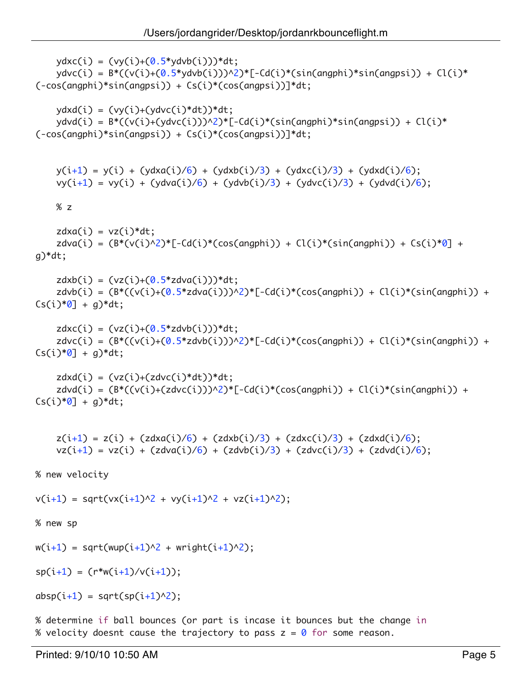```
ydxc(i) = (vy(i)+(0.5*ydvb(i)))*dt;ydvc(i) = B*((v(i)+(0.5*ydvb(i)))^2)^*[-Cd(i)*(sin(\text{angphi})^*sin(\text{angpsi})) + Cl(i)*(-cos(angphi)*sin(angpsi)) + Cs(i)*(cos(angpsi))]*dt;
    ydxd(i) = (vy(i)+(ydvc(i)*dt))*dt;ydvd(i) = B^*(-v(i)+(ydvc(i)))^{2,*}[-Cd(i)*(sin(\text{angphi})*sin(\text{angpsi}))+Cl(i)*(-cos(angphi)*sin(angpsi)) + Cs(i)*(cos(angpsi))]*dt;
    y(i+1) = y(i) + (ydxa(i)/6) + (ydxb(i)/3) + (ydxc(i)/3) + (ydxd(i)/6);vy(i+1) = vy(i) + (ydva(i)/6) + (ydvb(i)/3) + (ydvc(i)/3) + (ydvd(i)/6); % z
    zdxa(i) = vz(i)*dt;zdva(i) = (B*(v(i)^{2} * [-Cd(i)*(cos(\text{angphi}))) + Cl(i)*(sin(\text{angphi}))) + Cs(i)*0] +g)*dt;
    zdxb(i) = (vz(i)+(0.5 * zdva(i))) * dt;zdvb(i) = (B^*((v(i)+(0.5*zdva(i)))^2)^*[-Cd(i)*(cos(\text{angphi}))) + Cl(i)*(sin(\text{angphi}))) +Cs(i)*07 + q)*dt;zdxc(i) = (vz(i)+(0.5*zdvb(i)))*dt;zdvc(i) = (B^*((v(i)+(0.5*zdvb(i)))^2)^*[-Cd(i)*(cos(\text{angphi}))) + Cl(i)*(sin(\text{angphi}))) +Cs(i)*0] + g)*dt;zdxd(i) = (vz(i)+(zdvc(i)*dt))*dt;zdvd(i) = (B^*((v(i)+(zdvc(i)))^2)^*[-Cd(i)*(cos(\text{angphi}))) + Cl(i)*(sin(\text{angphi}))) +Cs(i)*0] + q)*dt;z(i+1) = z(i) + (zdxa(i)/6) + (zdxb(i)/3) + (zdxc(i)/3) + (zdxd(i)/6);vz(i+1) = vz(i) + (zdva(i)/6) + (zdvb(i)/3) + (zdvc(i)/3) + (zdvd(i)/6);% new velocity
v(i+1) = sqrt(vx(i+1)^2 + vy(i+1)^2 + vz(i+1)^2);
% new sp
w(i+1) = sqrt(wup(i+1)^{2} + wright(i+1)^{2});sp(i+1) = (r*w(i+1)/v(i+1));absp(i+1) = sqrt(sp(i+1)^{2});% determine if ball bounces (or part is incase it bounces but the change in
```
% velocity doesnt cause the trajectory to pass  $z = 0$  for some reason.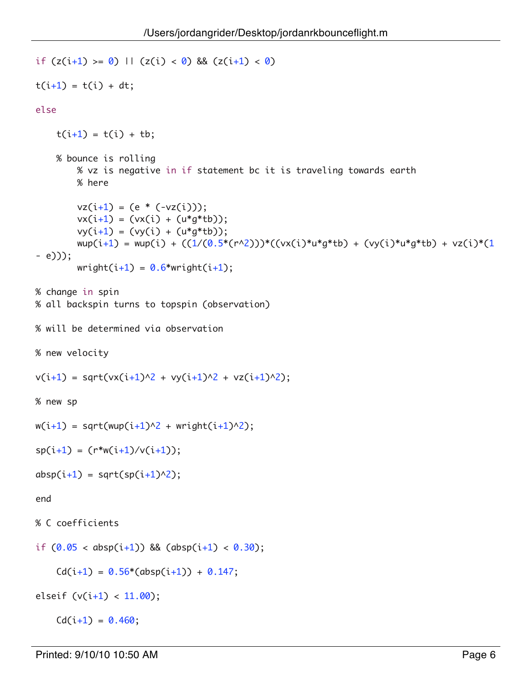```
if (z(i+1)) = 0 || (z(i) < 0) && (z(i+1) < 0)t(i+1) = t(i) + dt;else
    t(i+1) = t(i) + tb; % bounce is rolling
         % vz is negative in if statement bc it is traveling towards earth
         % here 
        vz(i+1) = (e * (-vz(i)));vx(i+1) = (vx(i) + (u*g*tb));vy(i+1) = (vy(i) + (u*g*tb));wup(i+1) = wup(i) + ((1/(0.5*(r^2)))*((vx(i)*u*g*tb) + (vy(i)*u*g*tb) + vz(i)*(1- e)));
        wright(i+1) = 0.6*wright(i+1);% change in spin 
% all backspin turns to topspin (observation)
% will be determined via observation
% new velocity
v(i+1) = sqrt(vx(i+1)^2 + vy(i+1)^2 + vz(i+1)^2);
% new sp
w(i+1) = sqrt(wup(i+1)^{2} + wright(i+1)^{2});sp(i+1) = (r*w(i+1)/v(i+1));absp(i+1) = sqrt(sp(i+1)^{2});end
% C coefficients
if (0.05 < absp(i+1)) && (absp(i+1) < 0.30);
    Cd(i+1) = 0.56*(absp(i+1)) + 0.147;elseif (v(i+1) < 11.00);
    Cd(i+1) = 0.460;
```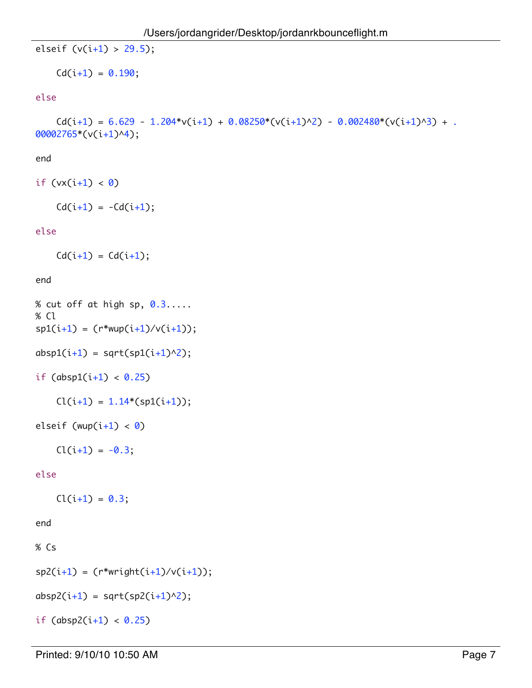```
elseif (v(i+1) > 29.5);
```

```
Cd(i+1) = 0.190;
```
## else

 $Cd(i+1) = 6.629 - 1.204*v(i+1) + 0.08250*(v(i+1)^2) - 0.002480*(v(i+1)^3) + .$ 00002765\*(v(i+1)^4);

# end

```
if (vx(i+1) < 0)
```

```
Cd(i+1) = -Cd(i+1);
```
# else

 $Cd(i+1) = Cd(i+1);$ 

# end

```
% cut off at high sp, 0.3.....
% Cl
sp1(i+1) = (r * wup(i+1) / v(i+1));absp1(i+1) = sqrt(sp1(i+1)^{2});if (absp1(i+1) < 0.25)Cl(i+1) = 1.14*(spl(i+1));
```

```
elseif (wup(i+1) < 0)
```

```
Cl(i+1) = -0.3;
```
## else

 $Cl(i+1) = 0.3;$ 

```
% Cs
```

```
sp2(i+1) = (r*weight(i+1)/v(i+1));
```

```
absp2(i+1) = sqrt(sp2(i+1)^{2});
```

```
if (absp2(i+1) < 0.25)
```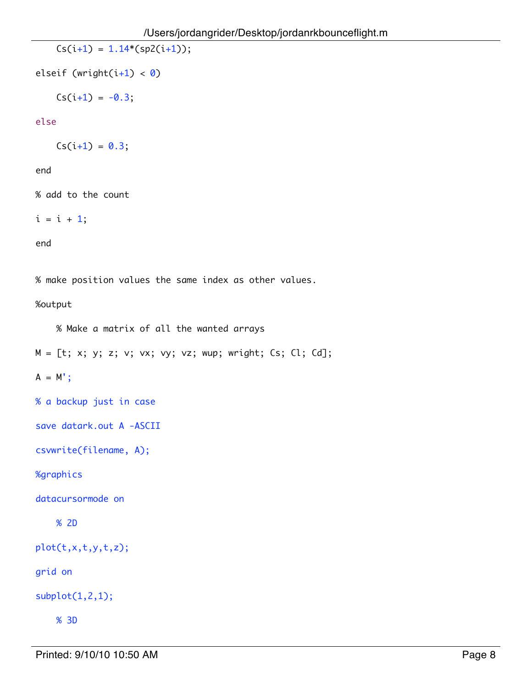$Cs(i+1) = 1.14*(sp2(i+1));$ 

elseif (wright(i+1) < 0)

 $Cs(i+1) = -0.3;$ 

### else

 $Cs(i+1) = 0.3;$ 

## end

% add to the count

 $i = i + 1;$ 

end

% make position values the same index as other values.

%output

% Make a matrix of all the wanted arrays

 $M = [t; x; y; z; v; vx; vy; vz; wup; wright; Cs; Cl; Cd];$ 

 $A = M';$ 

% a backup just in case

save datark.out A -ASCII

```
csvwrite(filename, A);
```
%graphics

datacursormode on

```
 % 2D
```
plot(t,x,t,y,t,z);

grid on

 $subplot(1,2,1);$ 

% 3D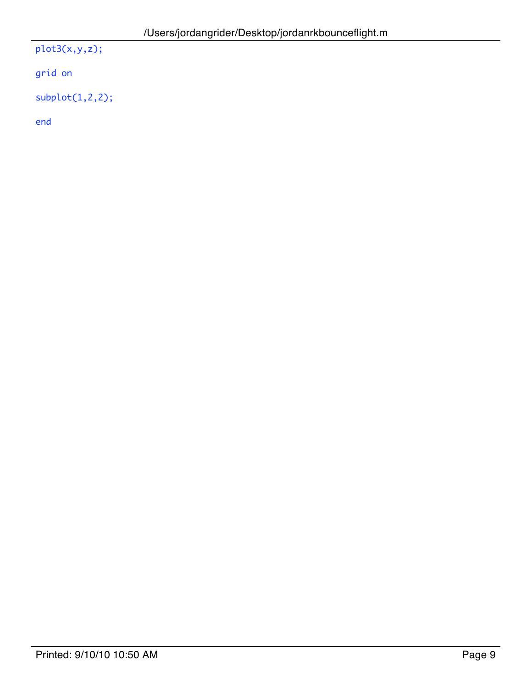plot3(x,y,z);

grid on

subplot(1,2,2);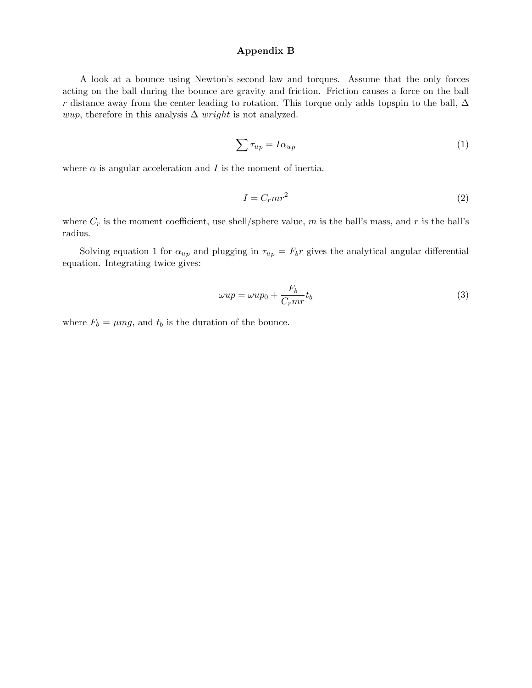### Appendix B

A look at a bounce using Newton's second law and torques. Assume that the only forces acting on the ball during the bounce are gravity and friction. Friction causes a force on the ball r distance away from the center leading to rotation. This torque only adds topspin to the ball,  $\Delta$ *wup*, therefore in this analysis  $\Delta$  *wright* is not analyzed.

$$
\sum \tau_{up} = I \alpha_{up} \tag{1}
$$

where  $\alpha$  is angular acceleration and I is the moment of inertia.

$$
I = C_r m r^2 \tag{2}
$$

where  $C_r$  is the moment coefficient, use shell/sphere value,  $m$  is the ball's mass, and  $r$  is the ball's radius.

Solving equation 1 for  $\alpha_{up}$  and plugging in  $\tau_{up} = F_b r$  gives the analytical angular differential equation. Integrating twice gives:

$$
\omega up = \omega up_0 + \frac{F_b}{C_r m r} t_b \tag{3}
$$

where  $F_b = \mu mg$ , and  $t_b$  is the duration of the bounce.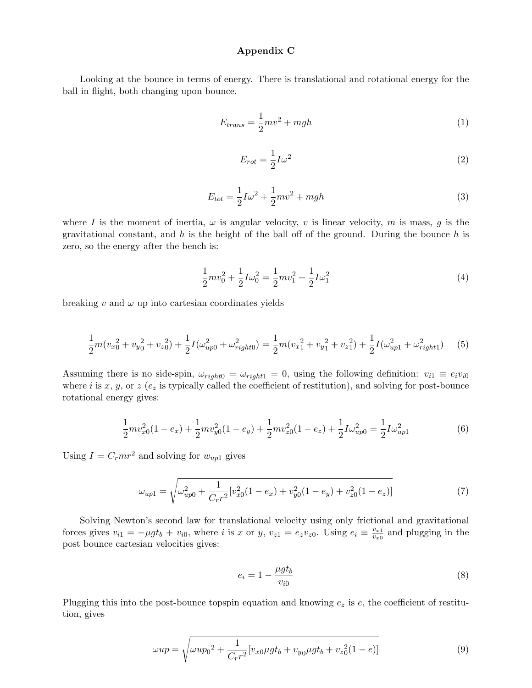#### Appendix C

Looking at the bounce in terms of energy. There is translational and rotational energy for the ball in flight, both changing upon bounce.

$$
E_{trans} = \frac{1}{2}mv^2 + mgh \tag{1}
$$

$$
E_{rot} = \frac{1}{2}I\omega^2\tag{2}
$$

$$
E_{tot} = \frac{1}{2}I\omega^2 + \frac{1}{2}mv^2 + mgh
$$
\n(3)

where I is the moment of inertia,  $\omega$  is angular velocity, v is linear velocity, m is mass, g is the gravitational constant, and  $h$  is the height of the ball off of the ground. During the bounce  $h$  is zero, so the energy after the bench is:

$$
\frac{1}{2}mv_0^2 + \frac{1}{2}I\omega_0^2 = \frac{1}{2}mv_1^2 + \frac{1}{2}I\omega_1^2\tag{4}
$$

breaking  $v$  and  $\omega$  up into cartesian coordinates yields

$$
\frac{1}{2}m(v_{x0}^{2} + v_{y0}^{2} + v_{z0}^{2}) + \frac{1}{2}I(\omega_{up0}^{2} + \omega_{right0}^{2}) = \frac{1}{2}m(v_{x1}^{2} + v_{y1}^{2} + v_{z1}^{2}) + \frac{1}{2}I(\omega_{up1}^{2} + \omega_{right1}^{2})
$$
(5)

Assuming there is no side-spin,  $\omega_{right0} = \omega_{right1} = 0$ , using the following definition:  $v_{i1} \equiv e_i v_{i0}$ where i is x, y, or  $z(e_z)$  is typically called the coefficient of restitution), and solving for post-bounce rotational energy gives:

$$
\frac{1}{2}mv_{x0}^2(1-e_x) + \frac{1}{2}mv_{y0}^2(1-e_y) + \frac{1}{2}mv_{z0}^2(1-e_z) + \frac{1}{2}I\omega_{up0}^2 = \frac{1}{2}I\omega_{up1}^2
$$
(6)

Using  $I = C<sub>r</sub>mr<sup>2</sup>$  and solving for  $w<sub>up1</sub>$  gives

$$
\omega_{up1} = \sqrt{\omega_{up0}^2 + \frac{1}{C_r r^2} [v_{xo}^2 (1 - e_x) + v_{y0}^2 (1 - e_y) + v_{z0}^2 (1 - e_z)]}
$$
(7)

Solving Newton's second law for translational velocity using only frictional and gravitational forces gives  $v_{i1} = -\mu g t_b + v_{i0}$ , where *i* is x or y,  $v_{z1} = e_z v_{z0}$ . Using  $e_i \equiv \frac{v_{x1}}{v_{x0}}$  and plugging in the post bounce cartesian velocities gives:

$$
e_i = 1 - \frac{\mu g t_b}{v_{i0}} \tag{8}
$$

Plugging this into the post-bounce topspin equation and knowing  $e_z$  is  $e$ , the coefficient of restitution, gives

$$
\omega up = \sqrt{\omega up_0^2 + \frac{1}{C_r r^2} [v_{x0} \mu g t_b + v_{y0} \mu g t_b + v_{z0}^2 (1 - e)]}
$$
\n(9)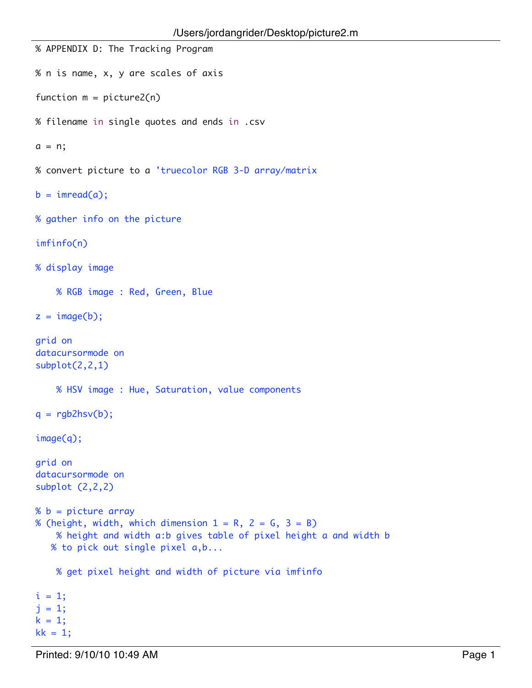```
% APPENDIX D: The Tracking Program
% n is name, x, y are scales of axis
function m = picture2(n)
% filename in single quotes and ends in .csv
a = n;
% convert picture to a 'truecolor RGB 3-D array/matrix
b = \text{imread}(a);% gather info on the picture
imfinfo(n)
% display image
     % RGB image : Red, Green, Blue
z = image(b);grid on
datacursormode on
subplot(2,2,1)
     % HSV image : Hue, Saturation, value components
q = rgb2hsv(b);
image(q);
grid on
datacursormode on
subplot (2,2,2)
% b = picture array
% (height, width, which dimension 1 = R, 2 = G, 3 = B)
     % height and width a:b gives table of pixel height a and width b
    % to pick out single pixel a,b...
     % get pixel height and width of picture via imfinfo
i = 1;j = 1;k = 1;
kk = 1;
```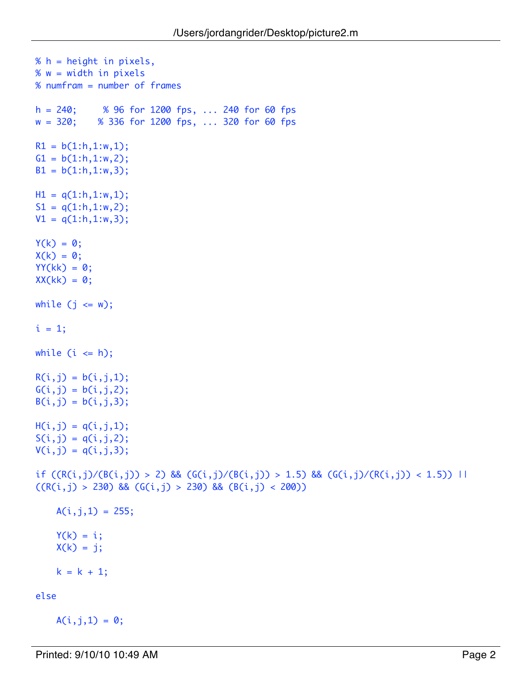```
% h = height in pixels,
% w = width in pixels
% numfram = number of frames
h = 240; % 96 for 1200 fps, ... 240 for 60 fps
w = 320; % 336 for 1200 fps, ... 320 for 60 fps
R1 = b(1:h, 1:w, 1);G1 = b(1:h, 1:w, 2);B1 = b(1:h, 1:w, 3);H1 = q(1:h, 1:w, 1);S1 = q(1:h, 1:w, 2);V1 = q(1:h, 1:w, 3);Y(k) = 0;X(k) = 0;YY(kk) = 0;XX(kk) = 0;while (j \leq w);i = 1;while (i \le h);R(i, j) = b(i, j, 1);G(i, j) = b(i, j, 2);B(i,j) = b(i,j,3);H(i, j) = q(i, j, 1);S(i,j) = q(i,j,2);V(i, j) = q(i, j, 3);if ((R(i,j)/(B(i,j))) > 2) && (G(i,j)/(B(i,j))) > 1.5) && (G(i,j)/(R(i,j)) < 1.5)) ||
((R(i,j) > 230) && (G(i,j) > 230) && (B(i,j) < 200))A(i, j, 1) = 255;Y(k) = i;X(k) = j;k = k + 1;else
```

```
A(i, j, 1) = 0;
```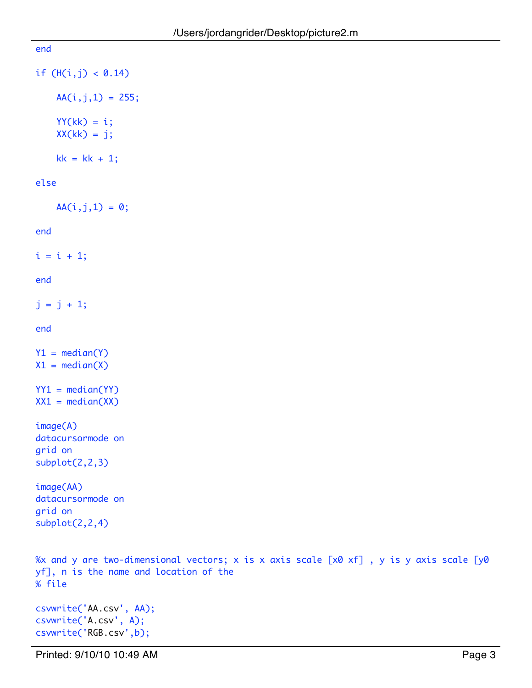```
end
if (H(i, j) < 0.14)AA(i,j,1) = 255;YY(kk) = i;XX(kk) = j;kk = kk + 1;else
   AA(i, j, 1) = 0;end
i = i + 1;end
j = j + 1;end
Y1 = median(Y)X1 = median(X)YY1 = median(YY)XX1 = median(XX)image(A)
datacursormode on
grid on
subplot(2,2,3)
image(AA)
datacursormode on
grid on
subplot(2,2,4)
%x and y are two-dimensional vectors; x is x axis scale [x0 xf] , y is y axis scale [y0 
yf], n is the name and location of the
% file
csvwrite('AA.csv', AA);
```
csvwrite('A.csv', A); csvwrite('RGB.csv',b);